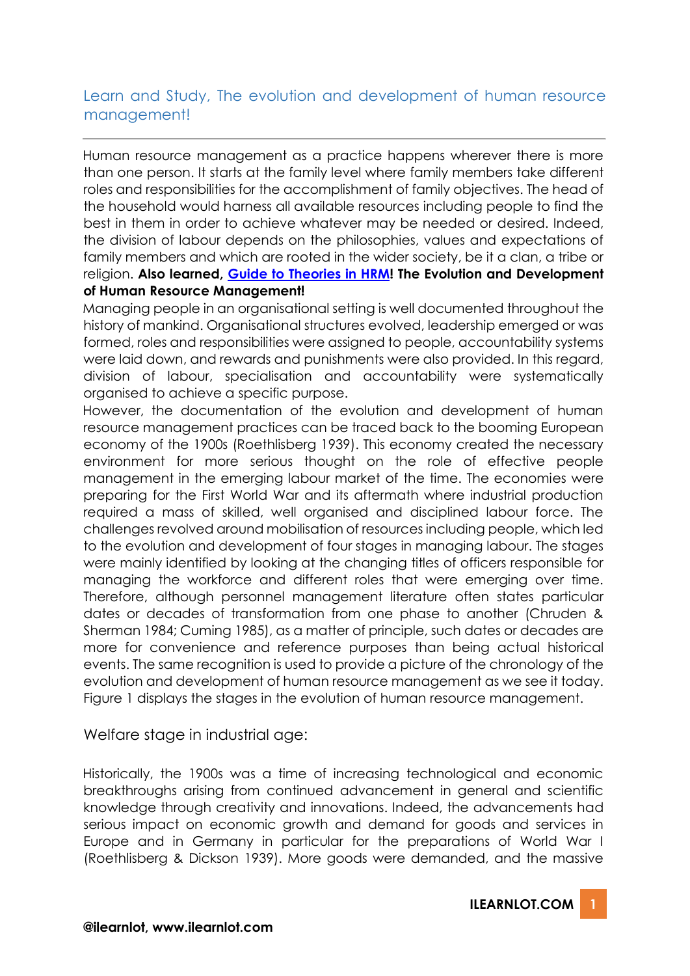## Learn and Study, The evolution and development of human resource management!

Human resource management as a practice happens wherever there is more than one person. It starts at the family level where family members take different roles and responsibilities for the accomplishment of family objectives. The head of the household would harness all available resources including people to find the best in them in order to achieve whatever may be needed or desired. Indeed, the division of labour depends on the philosophies, values and expectations of family members and which are rooted in the wider society, be it a clan, a tribe or religion. **Also learned, [Guide to Theories in HRM!](https://www.ilearnlot.com/guide-to-theories-in-human-resource-management/) The Evolution and Development of Human Resource Management!**

Managing people in an organisational setting is well documented throughout the history of mankind. Organisational structures evolved, leadership emerged or was formed, roles and responsibilities were assigned to people, accountability systems were laid down, and rewards and punishments were also provided. In this regard, division of labour, specialisation and accountability were systematically organised to achieve a specific purpose.

However, the documentation of the evolution and development of human resource management practices can be traced back to the booming European economy of the 1900s (Roethlisberg 1939). This economy created the necessary environment for more serious thought on the role of effective people management in the emerging labour market of the time. The economies were preparing for the First World War and its aftermath where industrial production required a mass of skilled, well organised and disciplined labour force. The challenges revolved around mobilisation of resources including people, which led to the evolution and development of four stages in managing labour. The stages were mainly identified by looking at the changing titles of officers responsible for managing the workforce and different roles that were emerging over time. Therefore, although personnel management literature often states particular dates or decades of transformation from one phase to another (Chruden & Sherman 1984; Cuming 1985), as a matter of principle, such dates or decades are more for convenience and reference purposes than being actual historical events. The same recognition is used to provide a picture of the chronology of the evolution and development of human resource management as we see it today. Figure 1 displays the stages in the evolution of human resource management.

Welfare stage in industrial age:

Historically, the 1900s was a time of increasing technological and economic breakthroughs arising from continued advancement in general and scientific knowledge through creativity and innovations. Indeed, the advancements had serious impact on economic growth and demand for goods and services in Europe and in Germany in particular for the preparations of World War I (Roethlisberg & Dickson 1939). More goods were demanded, and the massive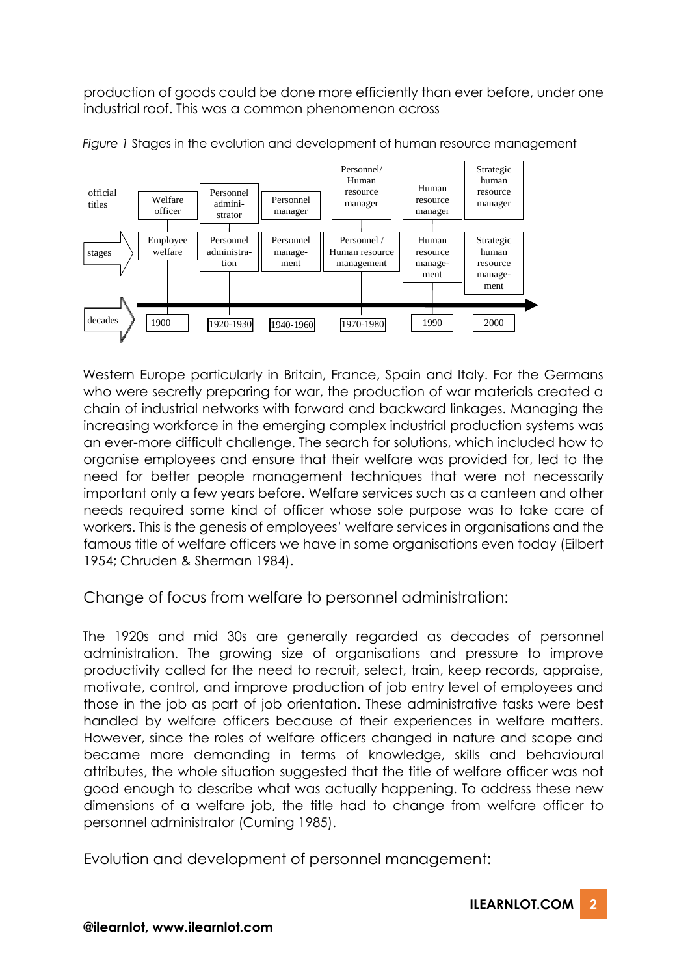production of goods could be done more efficiently than ever before, under one industrial roof. This was a common phenomenon across





Western Europe particularly in Britain, France, Spain and Italy. For the Germans who were secretly preparing for war, the production of war materials created a chain of industrial networks with forward and backward linkages. Managing the increasing workforce in the emerging complex industrial production systems was an ever-more difficult challenge. The search for solutions, which included how to organise employees and ensure that their welfare was provided for, led to the need for better people management techniques that were not necessarily important only a few years before. Welfare services such as a canteen and other needs required some kind of officer whose sole purpose was to take care of workers. This is the genesis of employees' welfare services in organisations and the famous title of welfare officers we have in some organisations even today (Eilbert 1954; Chruden & Sherman 1984).

Change of focus from welfare to personnel administration:

The 1920s and mid 30s are generally regarded as decades of personnel administration. The growing size of organisations and pressure to improve productivity called for the need to recruit, select, train, keep records, appraise, motivate, control, and improve production of job entry level of employees and those in the job as part of job orientation. These administrative tasks were best handled by welfare officers because of their experiences in welfare matters. However, since the roles of welfare officers changed in nature and scope and became more demanding in terms of knowledge, skills and behavioural attributes, the whole situation suggested that the title of welfare officer was not good enough to describe what was actually happening. To address these new dimensions of a welfare job, the title had to change from welfare officer to personnel administrator (Cuming 1985).

Evolution and development of personnel management: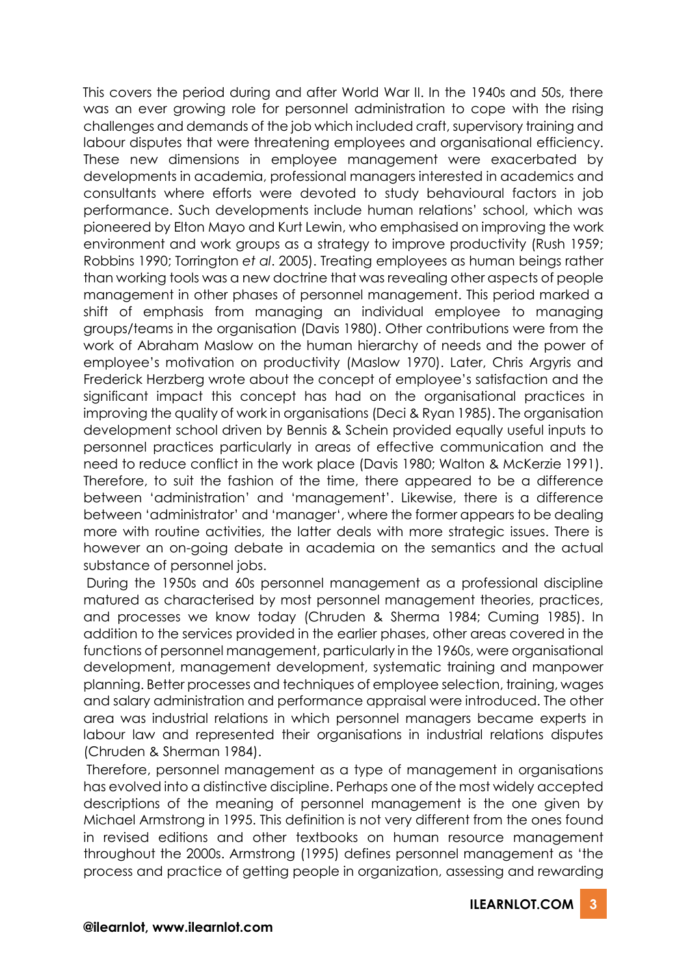This covers the period during and after World War II. In the 1940s and 50s, there was an ever growing role for personnel administration to cope with the rising challenges and demands of the job which included craft, supervisory training and labour disputes that were threatening employees and organisational efficiency. These new dimensions in employee management were exacerbated by developments in academia, professional managers interested in academics and consultants where efforts were devoted to study behavioural factors in job performance. Such developments include human relations' school, which was pioneered by Elton Mayo and Kurt Lewin, who emphasised on improving the work environment and work groups as a strategy to improve productivity (Rush 1959; Robbins 1990; Torrington *et al*. 2005). Treating employees as human beings rather than working tools was a new doctrine that was revealing other aspects of people management in other phases of personnel management. This period marked a shift of emphasis from managing an individual employee to managing groups/teams in the organisation (Davis 1980). Other contributions were from the work of Abraham Maslow on the human hierarchy of needs and the power of employee's motivation on productivity (Maslow 1970). Later, Chris Argyris and Frederick Herzberg wrote about the concept of employee's satisfaction and the significant impact this concept has had on the organisational practices in improving the quality of work in organisations (Deci & Ryan 1985). The organisation development school driven by Bennis & Schein provided equally useful inputs to personnel practices particularly in areas of effective communication and the need to reduce conflict in the work place (Davis 1980; Walton & McKerzie 1991). Therefore, to suit the fashion of the time, there appeared to be a difference between 'administration' and 'management'. Likewise, there is a difference between 'administrator' and 'manager', where the former appears to be dealing more with routine activities, the latter deals with more strategic issues. There is however an on-going debate in academia on the semantics and the actual substance of personnel jobs.

During the 1950s and 60s personnel management as a professional discipline matured as characterised by most personnel management theories, practices, and processes we know today (Chruden & Sherma 1984; Cuming 1985). In addition to the services provided in the earlier phases, other areas covered in the functions of personnel management, particularly in the 1960s, were organisational development, management development, systematic training and manpower planning. Better processes and techniques of employee selection, training, wages and salary administration and performance appraisal were introduced. The other area was industrial relations in which personnel managers became experts in labour law and represented their organisations in industrial relations disputes (Chruden & Sherman 1984).

Therefore, personnel management as a type of management in organisations has evolved into a distinctive discipline. Perhaps one of the most widely accepted descriptions of the meaning of personnel management is the one given by Michael Armstrong in 1995. This definition is not very different from the ones found in revised editions and other textbooks on human resource management throughout the 2000s. Armstrong (1995) defines personnel management as 'the process and practice of getting people in organization, assessing and rewarding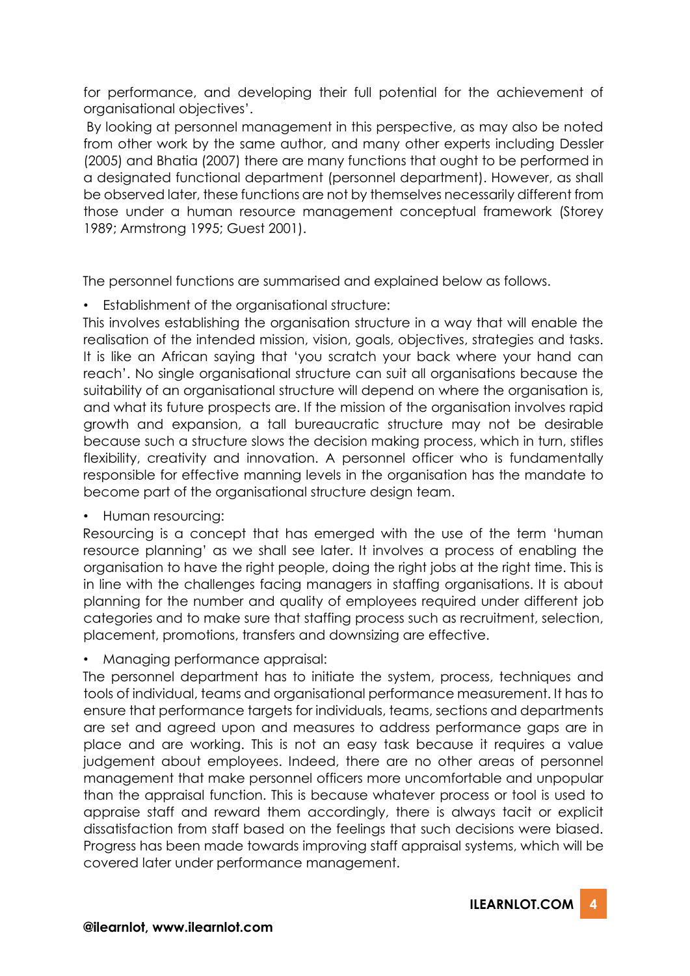for performance, and developing their full potential for the achievement of organisational objectives'.

By looking at personnel management in this perspective, as may also be noted from other work by the same author, and many other experts including Dessler (2005) and Bhatia (2007) there are many functions that ought to be performed in a designated functional department (personnel department). However, as shall be observed later, these functions are not by themselves necessarily different from those under a human resource management conceptual framework (Storey 1989; Armstrong 1995; Guest 2001).

The personnel functions are summarised and explained below as follows.

• Establishment of the organisational structure:

This involves establishing the organisation structure in a way that will enable the realisation of the intended mission, vision, goals, objectives, strategies and tasks. It is like an African saying that 'you scratch your back where your hand can reach'. No single organisational structure can suit all organisations because the suitability of an organisational structure will depend on where the organisation is, and what its future prospects are. If the mission of the organisation involves rapid growth and expansion, a tall bureaucratic structure may not be desirable because such a structure slows the decision making process, which in turn, stifles flexibility, creativity and innovation. A personnel officer who is fundamentally responsible for effective manning levels in the organisation has the mandate to become part of the organisational structure design team.

• Human resourcing:

Resourcing is a concept that has emerged with the use of the term 'human resource planning' as we shall see later. It involves a process of enabling the organisation to have the right people, doing the right jobs at the right time. This is in line with the challenges facing managers in staffing organisations. It is about planning for the number and quality of employees required under different job categories and to make sure that staffing process such as recruitment, selection, placement, promotions, transfers and downsizing are effective.

• Managing performance appraisal:

The personnel department has to initiate the system, process, techniques and tools of individual, teams and organisational performance measurement. It has to ensure that performance targets for individuals, teams, sections and departments are set and agreed upon and measures to address performance gaps are in place and are working. This is not an easy task because it requires a value judgement about employees. Indeed, there are no other areas of personnel management that make personnel officers more uncomfortable and unpopular than the appraisal function. This is because whatever process or tool is used to appraise staff and reward them accordingly, there is always tacit or explicit dissatisfaction from staff based on the feelings that such decisions were biased. Progress has been made towards improving staff appraisal systems, which will be covered later under performance management.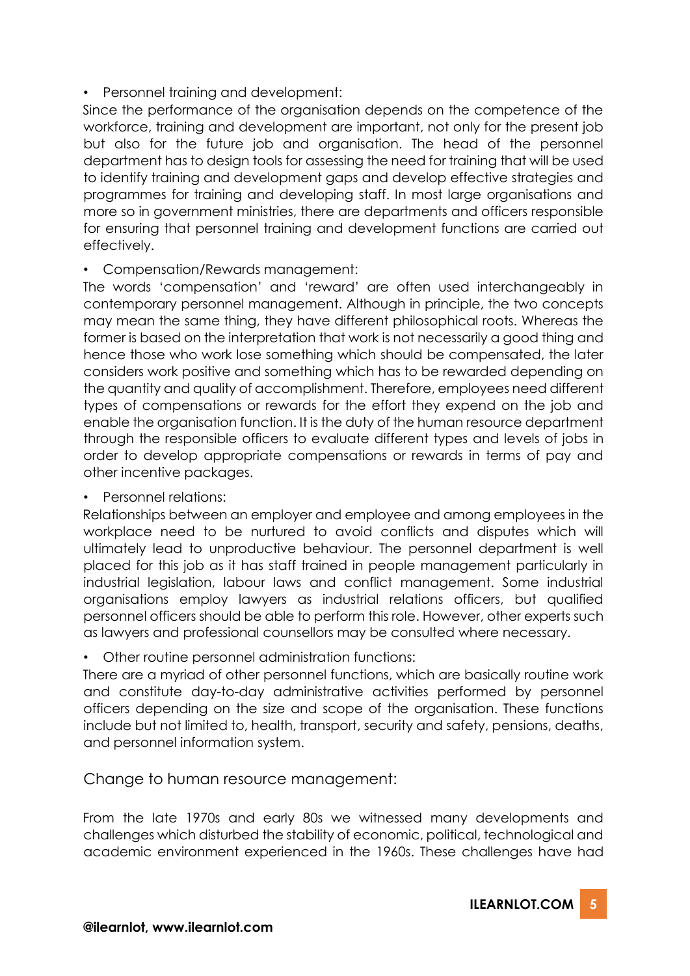## • Personnel training and development:

Since the performance of the organisation depends on the competence of the workforce, training and development are important, not only for the present job but also for the future job and organisation. The head of the personnel department has to design tools for assessing the need for training that will be used to identify training and development gaps and develop effective strategies and programmes for training and developing staff. In most large organisations and more so in government ministries, there are departments and officers responsible for ensuring that personnel training and development functions are carried out effectively.

## • Compensation/Rewards management:

The words 'compensation' and 'reward' are often used interchangeably in contemporary personnel management. Although in principle, the two concepts may mean the same thing, they have different philosophical roots. Whereas the former is based on the interpretation that work is not necessarily a good thing and hence those who work lose something which should be compensated, the later considers work positive and something which has to be rewarded depending on the quantity and quality of accomplishment. Therefore, employees need different types of compensations or rewards for the effort they expend on the job and enable the organisation function. It is the duty of the human resource department through the responsible officers to evaluate different types and levels of jobs in order to develop appropriate compensations or rewards in terms of pay and other incentive packages.

## • Personnel relations:

Relationships between an employer and employee and among employees in the workplace need to be nurtured to avoid conflicts and disputes which will ultimately lead to unproductive behaviour. The personnel department is well placed for this job as it has staff trained in people management particularly in industrial legislation, labour laws and conflict management. Some industrial organisations employ lawyers as industrial relations officers, but qualified personnel officers should be able to perform this role. However, other experts such as lawyers and professional counsellors may be consulted where necessary.

• Other routine personnel administration functions:

There are a myriad of other personnel functions, which are basically routine work and constitute day-to-day administrative activities performed by personnel officers depending on the size and scope of the organisation. These functions include but not limited to, health, transport, security and safety, pensions, deaths, and personnel information system.

Change to human resource management:

From the late 1970s and early 80s we witnessed many developments and challenges which disturbed the stability of economic, political, technological and academic environment experienced in the 1960s. These challenges have had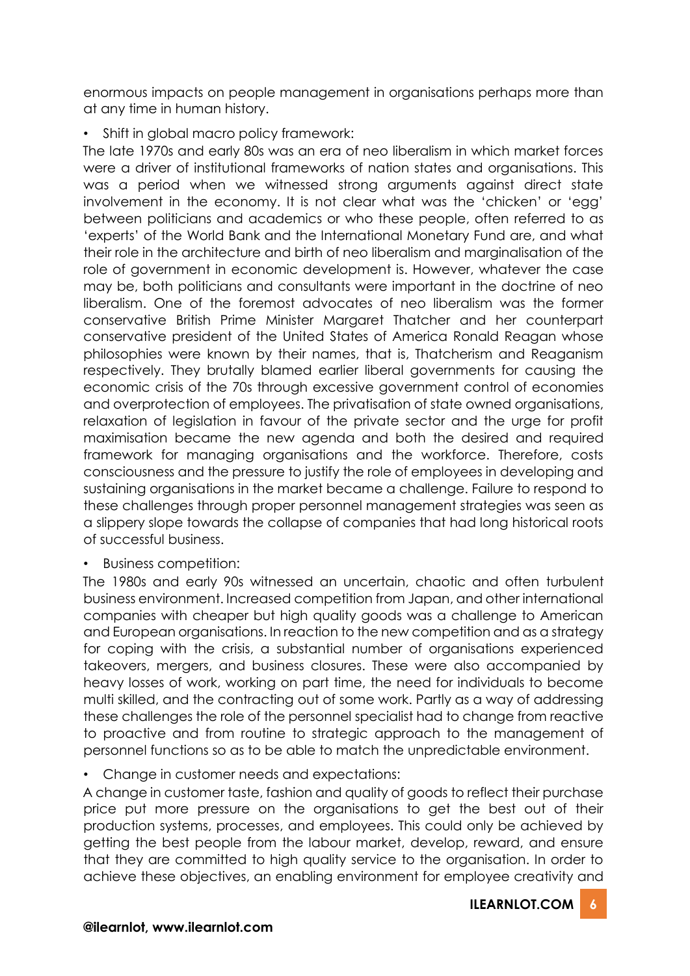enormous impacts on people management in organisations perhaps more than at any time in human history.

• Shift in global macro policy framework:

The late 1970s and early 80s was an era of neo liberalism in which market forces were a driver of institutional frameworks of nation states and organisations. This was a period when we witnessed strong arguments against direct state involvement in the economy. It is not clear what was the 'chicken' or 'egg' between politicians and academics or who these people, often referred to as 'experts' of the World Bank and the International Monetary Fund are, and what their role in the architecture and birth of neo liberalism and marginalisation of the role of government in economic development is. However, whatever the case may be, both politicians and consultants were important in the doctrine of neo liberalism. One of the foremost advocates of neo liberalism was the former conservative British Prime Minister Margaret Thatcher and her counterpart conservative president of the United States of America Ronald Reagan whose philosophies were known by their names, that is, Thatcherism and Reaganism respectively. They brutally blamed earlier liberal governments for causing the economic crisis of the 70s through excessive government control of economies and overprotection of employees. The privatisation of state owned organisations, relaxation of legislation in favour of the private sector and the urge for profit maximisation became the new agenda and both the desired and required framework for managing organisations and the workforce. Therefore, costs consciousness and the pressure to justify the role of employees in developing and sustaining organisations in the market became a challenge. Failure to respond to these challenges through proper personnel management strategies was seen as a slippery slope towards the collapse of companies that had long historical roots of successful business.

• Business competition:

The 1980s and early 90s witnessed an uncertain, chaotic and often turbulent business environment. Increased competition from Japan, and other international companies with cheaper but high quality goods was a challenge to American and European organisations. In reaction to the new competition and as a strategy for coping with the crisis, a substantial number of organisations experienced takeovers, mergers, and business closures. These were also accompanied by heavy losses of work, working on part time, the need for individuals to become multi skilled, and the contracting out of some work. Partly as a way of addressing these challenges the role of the personnel specialist had to change from reactive to proactive and from routine to strategic approach to the management of personnel functions so as to be able to match the unpredictable environment.

• Change in customer needs and expectations:

A change in customer taste, fashion and quality of goods to reflect their purchase price put more pressure on the organisations to get the best out of their production systems, processes, and employees. This could only be achieved by getting the best people from the labour market, develop, reward, and ensure that they are committed to high quality service to the organisation. In order to achieve these objectives, an enabling environment for employee creativity and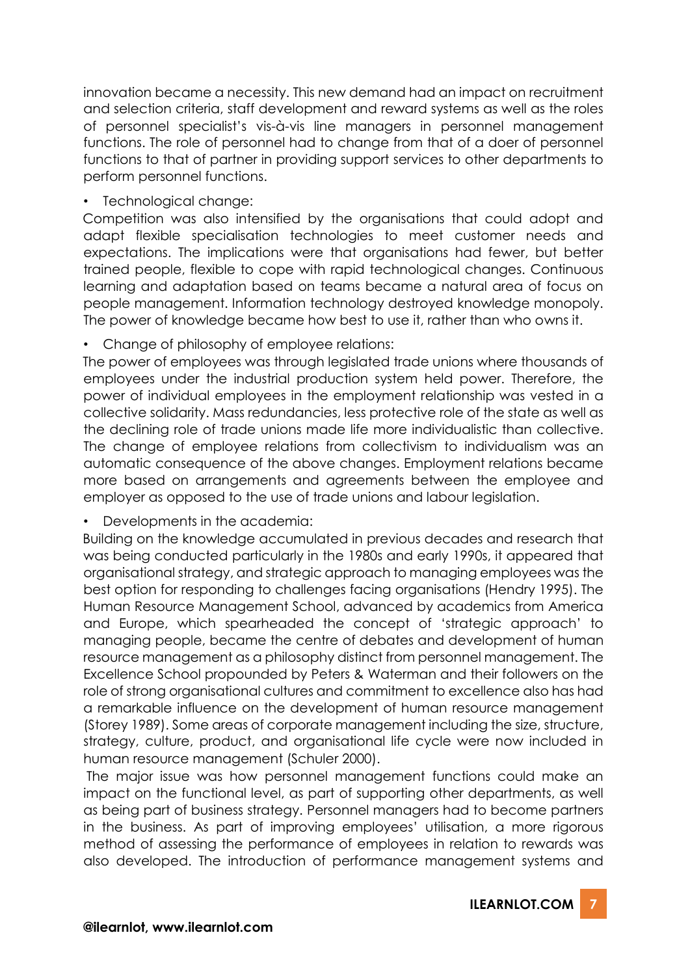innovation became a necessity. This new demand had an impact on recruitment and selection criteria, staff development and reward systems as well as the roles of personnel specialist's vis-à-vis line managers in personnel management functions. The role of personnel had to change from that of a doer of personnel functions to that of partner in providing support services to other departments to perform personnel functions.

• Technological change:

Competition was also intensified by the organisations that could adopt and adapt flexible specialisation technologies to meet customer needs and expectations. The implications were that organisations had fewer, but better trained people, flexible to cope with rapid technological changes. Continuous learning and adaptation based on teams became a natural area of focus on people management. Information technology destroyed knowledge monopoly. The power of knowledge became how best to use it, rather than who owns it.

• Change of philosophy of employee relations:

The power of employees was through legislated trade unions where thousands of employees under the industrial production system held power. Therefore, the power of individual employees in the employment relationship was vested in a collective solidarity. Mass redundancies, less protective role of the state as well as the declining role of trade unions made life more individualistic than collective. The change of employee relations from collectivism to individualism was an automatic consequence of the above changes. Employment relations became more based on arrangements and agreements between the employee and employer as opposed to the use of trade unions and labour legislation.

• Developments in the academia:

Building on the knowledge accumulated in previous decades and research that was being conducted particularly in the 1980s and early 1990s, it appeared that organisational strategy, and strategic approach to managing employees was the best option for responding to challenges facing organisations (Hendry 1995). The Human Resource Management School, advanced by academics from America and Europe, which spearheaded the concept of 'strategic approach' to managing people, became the centre of debates and development of human resource management as a philosophy distinct from personnel management. The Excellence School propounded by Peters & Waterman and their followers on the role of strong organisational cultures and commitment to excellence also has had a remarkable influence on the development of human resource management (Storey 1989). Some areas of corporate management including the size, structure, strategy, culture, product, and organisational life cycle were now included in human resource management (Schuler 2000).

The major issue was how personnel management functions could make an impact on the functional level, as part of supporting other departments, as well as being part of business strategy. Personnel managers had to become partners in the business. As part of improving employees' utilisation, a more rigorous method of assessing the performance of employees in relation to rewards was also developed. The introduction of performance management systems and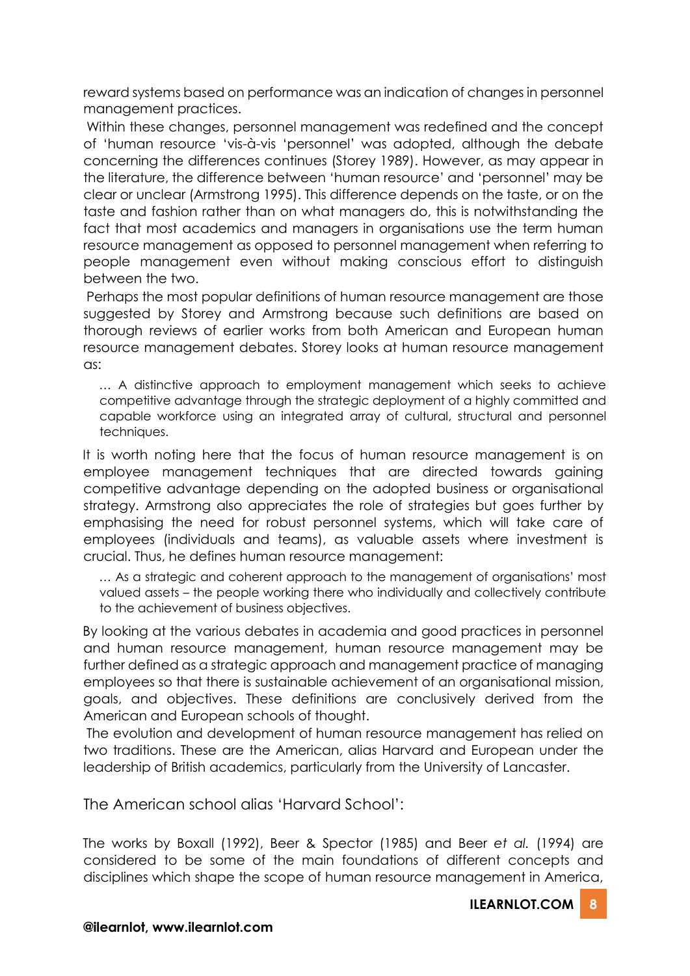reward systems based on performance was an indication of changes in personnel management practices.

Within these changes, personnel management was redefined and the concept of 'human resource 'vis-à-vis 'personnel' was adopted, although the debate concerning the differences continues (Storey 1989). However, as may appear in the literature, the difference between 'human resource' and 'personnel' may be clear or unclear (Armstrong 1995). This difference depends on the taste, or on the taste and fashion rather than on what managers do, this is notwithstanding the fact that most academics and managers in organisations use the term human resource management as opposed to personnel management when referring to people management even without making conscious effort to distinguish between the two.

Perhaps the most popular definitions of human resource management are those suggested by Storey and Armstrong because such definitions are based on thorough reviews of earlier works from both American and European human resource management debates. Storey looks at human resource management as:

… A distinctive approach to employment management which seeks to achieve competitive advantage through the strategic deployment of a highly committed and capable workforce using an integrated array of cultural, structural and personnel techniques.

It is worth noting here that the focus of human resource management is on employee management techniques that are directed towards gaining competitive advantage depending on the adopted business or organisational strategy. Armstrong also appreciates the role of strategies but goes further by emphasising the need for robust personnel systems, which will take care of employees (individuals and teams), as valuable assets where investment is crucial. Thus, he defines human resource management:

… As a strategic and coherent approach to the management of organisations' most valued assets – the people working there who individually and collectively contribute to the achievement of business objectives.

By looking at the various debates in academia and good practices in personnel and human resource management, human resource management may be further defined as a strategic approach and management practice of managing employees so that there is sustainable achievement of an organisational mission, goals, and objectives. These definitions are conclusively derived from the American and European schools of thought.

The evolution and development of human resource management has relied on two traditions. These are the American, alias Harvard and European under the leadership of British academics, particularly from the University of Lancaster.

The American school alias 'Harvard School':

The works by Boxall (1992), Beer & Spector (1985) and Beer *et al.* (1994) are considered to be some of the main foundations of different concepts and disciplines which shape the scope of human resource management in America,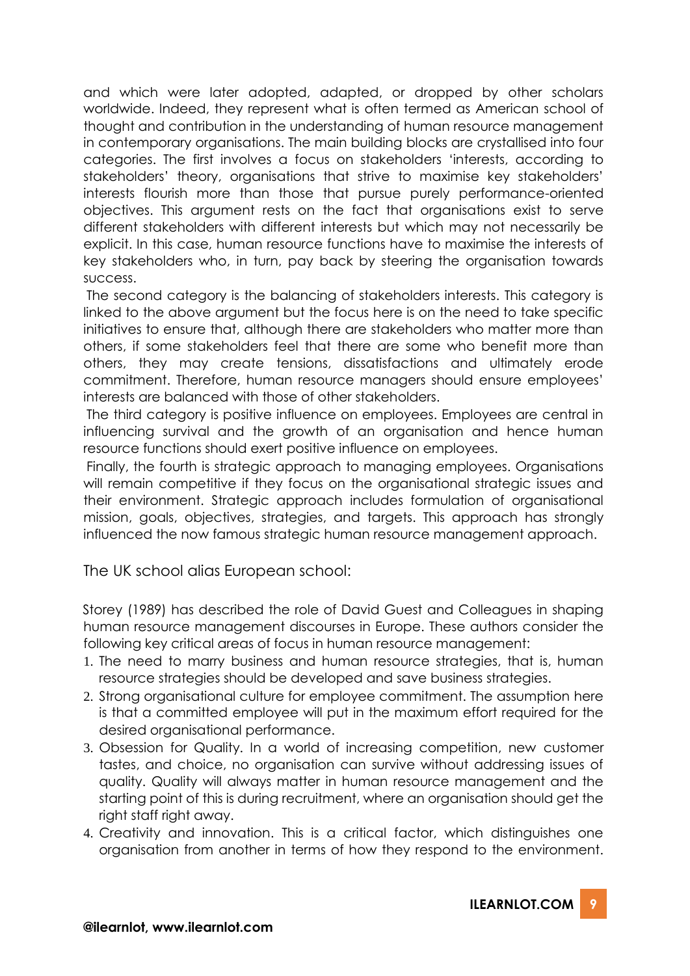and which were later adopted, adapted, or dropped by other scholars worldwide. Indeed, they represent what is often termed as American school of thought and contribution in the understanding of human resource management in contemporary organisations. The main building blocks are crystallised into four categories. The first involves a focus on stakeholders 'interests, according to stakeholders' theory, organisations that strive to maximise key stakeholders' interests flourish more than those that pursue purely performance-oriented objectives. This argument rests on the fact that organisations exist to serve different stakeholders with different interests but which may not necessarily be explicit. In this case, human resource functions have to maximise the interests of key stakeholders who, in turn, pay back by steering the organisation towards success.

The second category is the balancing of stakeholders interests. This category is linked to the above argument but the focus here is on the need to take specific initiatives to ensure that, although there are stakeholders who matter more than others, if some stakeholders feel that there are some who benefit more than others, they may create tensions, dissatisfactions and ultimately erode commitment. Therefore, human resource managers should ensure employees' interests are balanced with those of other stakeholders.

The third category is positive influence on employees. Employees are central in influencing survival and the growth of an organisation and hence human resource functions should exert positive influence on employees.

Finally, the fourth is strategic approach to managing employees. Organisations will remain competitive if they focus on the organisational strategic issues and their environment. Strategic approach includes formulation of organisational mission, goals, objectives, strategies, and targets. This approach has strongly influenced the now famous strategic human resource management approach.

The UK school alias European school:

Storey (1989) has described the role of David Guest and Colleagues in shaping human resource management discourses in Europe. These authors consider the following key critical areas of focus in human resource management:

- 1. The need to marry business and human resource strategies, that is, human resource strategies should be developed and save business strategies.
- 2. Strong organisational culture for employee commitment. The assumption here is that a committed employee will put in the maximum effort required for the desired organisational performance.
- 3. Obsession for Quality. In a world of increasing competition, new customer tastes, and choice, no organisation can survive without addressing issues of quality. Quality will always matter in human resource management and the starting point of this is during recruitment, where an organisation should get the right staff right away.
- 4. Creativity and innovation. This is a critical factor, which distinguishes one organisation from another in terms of how they respond to the environment.